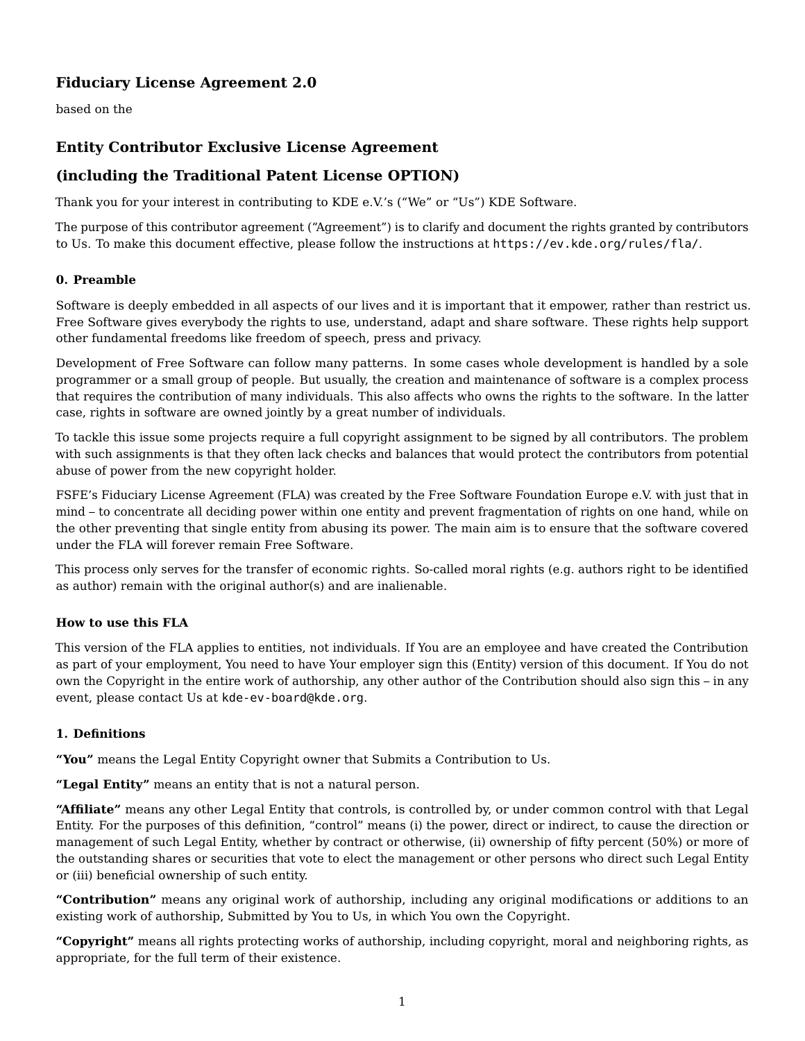# **Fiduciary License Agreement 2.0**

based on the

## **Entity Contributor Exclusive License Agreement**

## **(including the Traditional Patent License OPTION)**

Thank you for your interest in contributing to KDE e.V.'s ("We" or "Us") KDE Software.

The purpose of this contributor agreement ("Agreement") is to clarify and document the rights granted by contributors to Us. To make this document effective, please follow the instructions at <https://ev.kde.org/rules/fla/>.

#### **0. Preamble**

Software is deeply embedded in all aspects of our lives and it is important that it empower, rather than restrict us. Free Software gives everybody the rights to use, understand, adapt and share software. These rights help support other fundamental freedoms like freedom of speech, press and privacy.

Development of Free Software can follow many patterns. In some cases whole development is handled by a sole programmer or a small group of people. But usually, the creation and maintenance of software is a complex process that requires the contribution of many individuals. This also affects who owns the rights to the software. In the latter case, rights in software are owned jointly by a great number of individuals.

To tackle this issue some projects require a full copyright assignment to be signed by all contributors. The problem with such assignments is that they often lack checks and balances that would protect the contributors from potential abuse of power from the new copyright holder.

FSFE's Fiduciary License Agreement (FLA) was created by the Free Software Foundation Europe e.V. with just that in mind – to concentrate all deciding power within one entity and prevent fragmentation of rights on one hand, while on the other preventing that single entity from abusing its power. The main aim is to ensure that the software covered under the FLA will forever remain Free Software.

This process only serves for the transfer of economic rights. So-called moral rights (e.g. authors right to be identified as author) remain with the original author(s) and are inalienable.

#### **How to use this FLA**

This version of the FLA applies to entities, not individuals. If You are an employee and have created the Contribution as part of your employment, You need to have Your employer sign this (Entity) version of this document. If You do not own the Copyright in the entire work of authorship, any other author of the Contribution should also sign this – in any event, please contact Us at [kde-ev-board@kde.org](mailto:kde-ev-board@kde.org).

#### **1. Definitions**

**"You"** means the Legal Entity Copyright owner that Submits a Contribution to Us.

**"Legal Entity"** means an entity that is not a natural person.

**"Affiliate"** means any other Legal Entity that controls, is controlled by, or under common control with that Legal Entity. For the purposes of this definition, "control" means (i) the power, direct or indirect, to cause the direction or management of such Legal Entity, whether by contract or otherwise, (ii) ownership of fifty percent (50%) or more of the outstanding shares or securities that vote to elect the management or other persons who direct such Legal Entity or (iii) beneficial ownership of such entity.

**"Contribution"** means any original work of authorship, including any original modifications or additions to an existing work of authorship, Submitted by You to Us, in which You own the Copyright.

**"Copyright"** means all rights protecting works of authorship, including copyright, moral and neighboring rights, as appropriate, for the full term of their existence.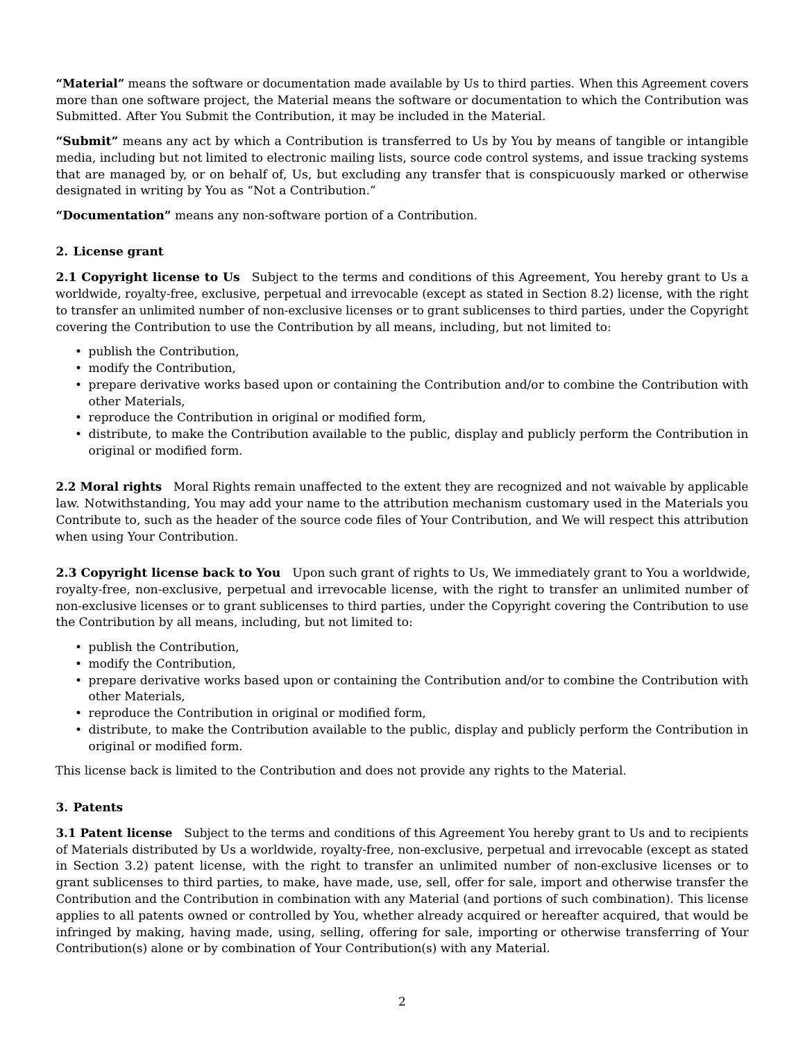**"Material"** means the software or documentation made available by Us to third parties. When this Agreement covers more than one software project, the Material means the software or documentation to which the Contribution was Submitted. After You Submit the Contribution, it may be included in the Material.

**"Submit"** means any act by which a Contribution is transferred to Us by You by means of tangible or intangible media, including but not limited to electronic mailing lists, source code control systems, and issue tracking systems that are managed by, or on behalf of, Us, but excluding any transfer that is conspicuously marked or otherwise designated in writing by You as "Not a Contribution."

**"Documentation"** means any non-software portion of a Contribution.

#### **2. License grant**

**2.1 Copyright license to Us** Subject to the terms and conditions of this Agreement, You hereby grant to Us a worldwide, royalty-free, exclusive, perpetual and irrevocable (except as stated in Section 8.2) license, with the right to transfer an unlimited number of non-exclusive licenses or to grant sublicenses to third parties, under the Copyright covering the Contribution to use the Contribution by all means, including, but not limited to:

- publish the Contribution,
- modify the Contribution,
- prepare derivative works based upon or containing the Contribution and/or to combine the Contribution with other Materials,
- reproduce the Contribution in original or modified form,
- distribute, to make the Contribution available to the public, display and publicly perform the Contribution in original or modified form.

**2.2 Moral rights** Moral Rights remain unaffected to the extent they are recognized and not waivable by applicable law. Notwithstanding, You may add your name to the attribution mechanism customary used in the Materials you Contribute to, such as the header of the source code files of Your Contribution, and We will respect this attribution when using Your Contribution.

**2.3 Copyright license back to You** Upon such grant of rights to Us, We immediately grant to You a worldwide, royalty-free, non-exclusive, perpetual and irrevocable license, with the right to transfer an unlimited number of non-exclusive licenses or to grant sublicenses to third parties, under the Copyright covering the Contribution to use the Contribution by all means, including, but not limited to:

- publish the Contribution,
- modify the Contribution,
- prepare derivative works based upon or containing the Contribution and/or to combine the Contribution with other Materials,
- reproduce the Contribution in original or modified form,
- distribute, to make the Contribution available to the public, display and publicly perform the Contribution in original or modified form.

This license back is limited to the Contribution and does not provide any rights to the Material.

#### **3. Patents**

**3.1 Patent license** Subject to the terms and conditions of this Agreement You hereby grant to Us and to recipients of Materials distributed by Us a worldwide, royalty-free, non-exclusive, perpetual and irrevocable (except as stated in Section 3.2) patent license, with the right to transfer an unlimited number of non-exclusive licenses or to grant sublicenses to third parties, to make, have made, use, sell, offer for sale, import and otherwise transfer the Contribution and the Contribution in combination with any Material (and portions of such combination). This license applies to all patents owned or controlled by You, whether already acquired or hereafter acquired, that would be infringed by making, having made, using, selling, offering for sale, importing or otherwise transferring of Your Contribution(s) alone or by combination of Your Contribution(s) with any Material.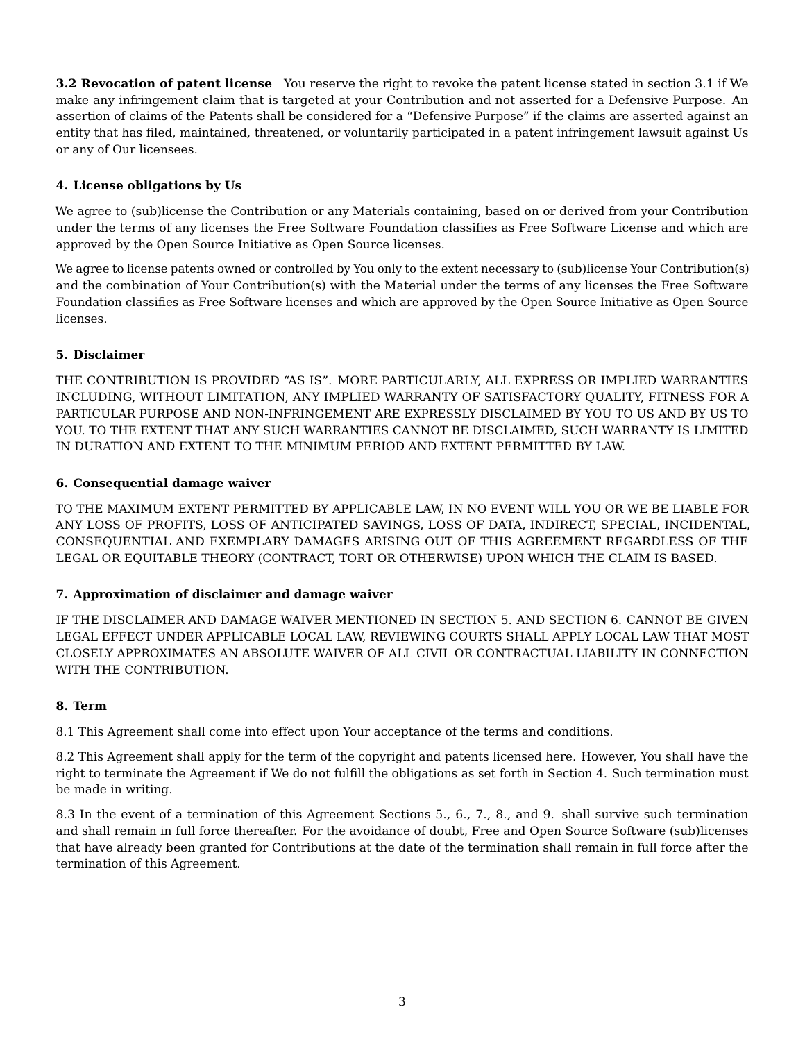**3.2 Revocation of patent license** You reserve the right to revoke the patent license stated in section 3.1 if We make any infringement claim that is targeted at your Contribution and not asserted for a Defensive Purpose. An assertion of claims of the Patents shall be considered for a "Defensive Purpose" if the claims are asserted against an entity that has filed, maintained, threatened, or voluntarily participated in a patent infringement lawsuit against Us or any of Our licensees.

#### **4. License obligations by Us**

We agree to (sub)license the Contribution or any Materials containing, based on or derived from your Contribution under the terms of any licenses the Free Software Foundation classifies as Free Software License and which are approved by the Open Source Initiative as Open Source licenses.

We agree to license patents owned or controlled by You only to the extent necessary to (sub)license Your Contribution(s) and the combination of Your Contribution(s) with the Material under the terms of any licenses the Free Software Foundation classifies as Free Software licenses and which are approved by the Open Source Initiative as Open Source licenses.

### **5. Disclaimer**

THE CONTRIBUTION IS PROVIDED "AS IS". MORE PARTICULARLY, ALL EXPRESS OR IMPLIED WARRANTIES INCLUDING, WITHOUT LIMITATION, ANY IMPLIED WARRANTY OF SATISFACTORY QUALITY, FITNESS FOR A PARTICULAR PURPOSE AND NON-INFRINGEMENT ARE EXPRESSLY DISCLAIMED BY YOU TO US AND BY US TO YOU. TO THE EXTENT THAT ANY SUCH WARRANTIES CANNOT BE DISCLAIMED, SUCH WARRANTY IS LIMITED IN DURATION AND EXTENT TO THE MINIMUM PERIOD AND EXTENT PERMITTED BY LAW.

### **6. Consequential damage waiver**

TO THE MAXIMUM EXTENT PERMITTED BY APPLICABLE LAW, IN NO EVENT WILL YOU OR WE BE LIABLE FOR ANY LOSS OF PROFITS, LOSS OF ANTICIPATED SAVINGS, LOSS OF DATA, INDIRECT, SPECIAL, INCIDENTAL, CONSEQUENTIAL AND EXEMPLARY DAMAGES ARISING OUT OF THIS AGREEMENT REGARDLESS OF THE LEGAL OR EQUITABLE THEORY (CONTRACT, TORT OR OTHERWISE) UPON WHICH THE CLAIM IS BASED.

#### **7. Approximation of disclaimer and damage waiver**

IF THE DISCLAIMER AND DAMAGE WAIVER MENTIONED IN SECTION 5. AND SECTION 6. CANNOT BE GIVEN LEGAL EFFECT UNDER APPLICABLE LOCAL LAW, REVIEWING COURTS SHALL APPLY LOCAL LAW THAT MOST CLOSELY APPROXIMATES AN ABSOLUTE WAIVER OF ALL CIVIL OR CONTRACTUAL LIABILITY IN CONNECTION WITH THE CONTRIBUTION.

#### **8. Term**

8.1 This Agreement shall come into effect upon Your acceptance of the terms and conditions.

8.2 This Agreement shall apply for the term of the copyright and patents licensed here. However, You shall have the right to terminate the Agreement if We do not fulfill the obligations as set forth in Section 4. Such termination must be made in writing.

8.3 In the event of a termination of this Agreement Sections 5., 6., 7., 8., and 9. shall survive such termination and shall remain in full force thereafter. For the avoidance of doubt, Free and Open Source Software (sub)licenses that have already been granted for Contributions at the date of the termination shall remain in full force after the termination of this Agreement.